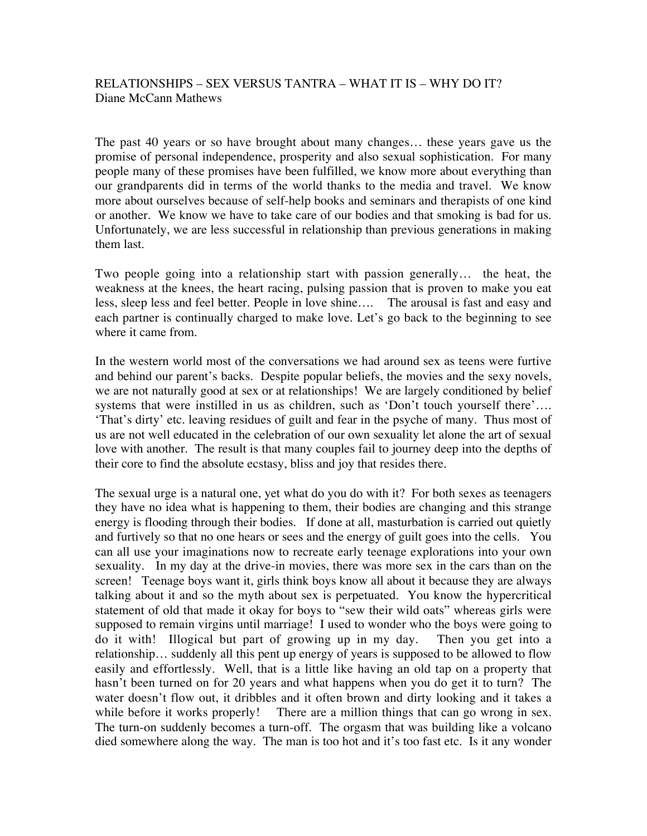## RELATIONSHIPS – SEX VERSUS TANTRA – WHAT IT IS – WHY DO IT? Diane McCann Mathews

The past 40 years or so have brought about many changes… these years gave us the promise of personal independence, prosperity and also sexual sophistication. For many people many of these promises have been fulfilled, we know more about everything than our grandparents did in terms of the world thanks to the media and travel. We know more about ourselves because of self-help books and seminars and therapists of one kind or another. We know we have to take care of our bodies and that smoking is bad for us. Unfortunately, we are less successful in relationship than previous generations in making them last.

Two people going into a relationship start with passion generally… the heat, the weakness at the knees, the heart racing, pulsing passion that is proven to make you eat less, sleep less and feel better. People in love shine…. The arousal is fast and easy and each partner is continually charged to make love. Let's go back to the beginning to see where it came from.

In the western world most of the conversations we had around sex as teens were furtive and behind our parent's backs. Despite popular beliefs, the movies and the sexy novels, we are not naturally good at sex or at relationships! We are largely conditioned by belief systems that were instilled in us as children, such as 'Don't touch yourself there'…. 'That's dirty' etc. leaving residues of guilt and fear in the psyche of many. Thus most of us are not well educated in the celebration of our own sexuality let alone the art of sexual love with another. The result is that many couples fail to journey deep into the depths of their core to find the absolute ecstasy, bliss and joy that resides there.

The sexual urge is a natural one, yet what do you do with it? For both sexes as teenagers they have no idea what is happening to them, their bodies are changing and this strange energy is flooding through their bodies. If done at all, masturbation is carried out quietly and furtively so that no one hears or sees and the energy of guilt goes into the cells. You can all use your imaginations now to recreate early teenage explorations into your own sexuality. In my day at the drive-in movies, there was more sex in the cars than on the screen! Teenage boys want it, girls think boys know all about it because they are always talking about it and so the myth about sex is perpetuated. You know the hypercritical statement of old that made it okay for boys to "sew their wild oats" whereas girls were supposed to remain virgins until marriage! I used to wonder who the boys were going to do it with! Illogical but part of growing up in my day. Then you get into a relationship… suddenly all this pent up energy of years is supposed to be allowed to flow easily and effortlessly. Well, that is a little like having an old tap on a property that hasn't been turned on for 20 years and what happens when you do get it to turn? The water doesn't flow out, it dribbles and it often brown and dirty looking and it takes a while before it works properly! There are a million things that can go wrong in sex. The turn-on suddenly becomes a turn-off. The orgasm that was building like a volcano died somewhere along the way. The man is too hot and it's too fast etc. Is it any wonder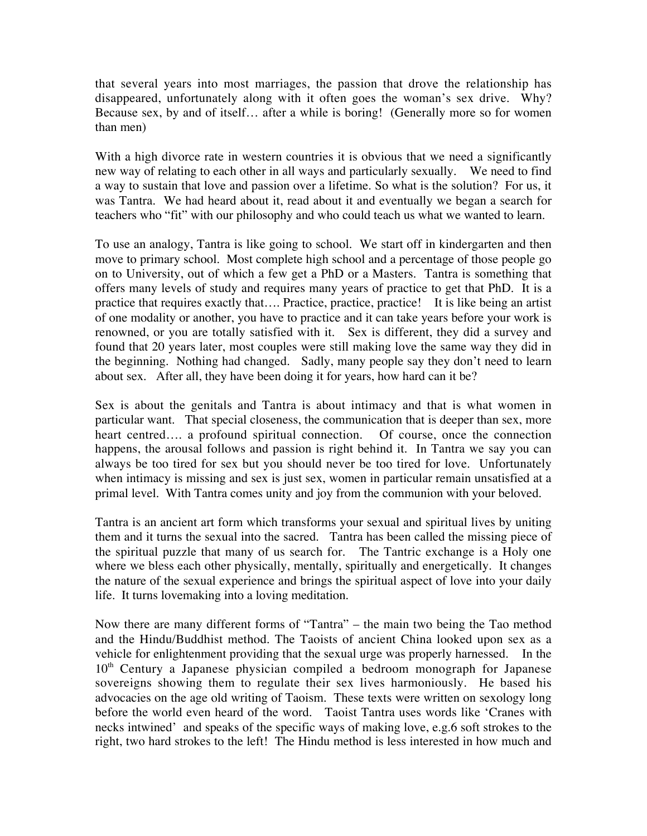that several years into most marriages, the passion that drove the relationship has disappeared, unfortunately along with it often goes the woman's sex drive. Why? Because sex, by and of itself… after a while is boring! (Generally more so for women than men)

With a high divorce rate in western countries it is obvious that we need a significantly new way of relating to each other in all ways and particularly sexually. We need to find a way to sustain that love and passion over a lifetime. So what is the solution? For us, it was Tantra. We had heard about it, read about it and eventually we began a search for teachers who "fit" with our philosophy and who could teach us what we wanted to learn.

To use an analogy, Tantra is like going to school. We start off in kindergarten and then move to primary school. Most complete high school and a percentage of those people go on to University, out of which a few get a PhD or a Masters. Tantra is something that offers many levels of study and requires many years of practice to get that PhD. It is a practice that requires exactly that…. Practice, practice, practice! It is like being an artist of one modality or another, you have to practice and it can take years before your work is renowned, or you are totally satisfied with it. Sex is different, they did a survey and found that 20 years later, most couples were still making love the same way they did in the beginning. Nothing had changed. Sadly, many people say they don't need to learn about sex. After all, they have been doing it for years, how hard can it be?

Sex is about the genitals and Tantra is about intimacy and that is what women in particular want. That special closeness, the communication that is deeper than sex, more heart centred.... a profound spiritual connection. Of course, once the connection happens, the arousal follows and passion is right behind it. In Tantra we say you can always be too tired for sex but you should never be too tired for love. Unfortunately when intimacy is missing and sex is just sex, women in particular remain unsatisfied at a primal level. With Tantra comes unity and joy from the communion with your beloved.

Tantra is an ancient art form which transforms your sexual and spiritual lives by uniting them and it turns the sexual into the sacred. Tantra has been called the missing piece of the spiritual puzzle that many of us search for. The Tantric exchange is a Holy one where we bless each other physically, mentally, spiritually and energetically. It changes the nature of the sexual experience and brings the spiritual aspect of love into your daily life. It turns lovemaking into a loving meditation.

Now there are many different forms of "Tantra" – the main two being the Tao method and the Hindu/Buddhist method. The Taoists of ancient China looked upon sex as a vehicle for enlightenment providing that the sexual urge was properly harnessed. In the  $10<sup>th</sup>$  Century a Japanese physician compiled a bedroom monograph for Japanese sovereigns showing them to regulate their sex lives harmoniously. He based his advocacies on the age old writing of Taoism. These texts were written on sexology long before the world even heard of the word. Taoist Tantra uses words like 'Cranes with necks intwined' and speaks of the specific ways of making love, e.g.6 soft strokes to the right, two hard strokes to the left! The Hindu method is less interested in how much and